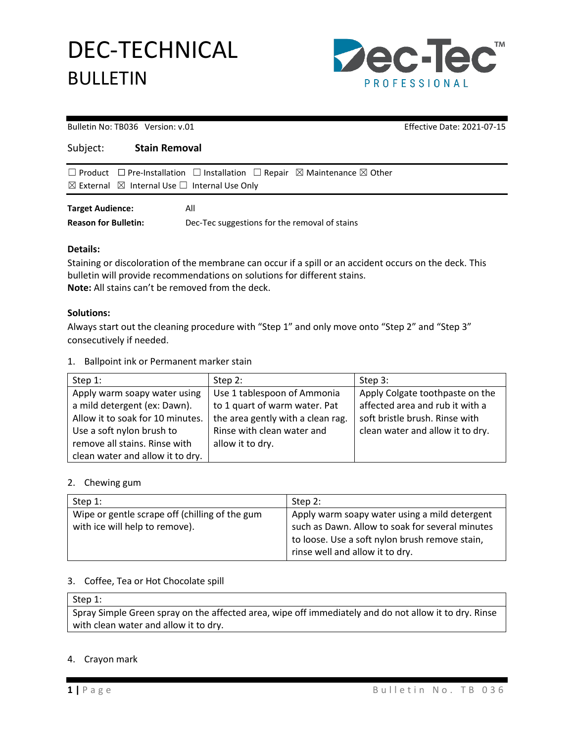# DEC-TECHNICAL BULLETIN



Bulletin No: TB036 Version: v.01 Effective Date: 2021-07-15 Subject: **Stain Removal** ☐ Product ☐ Pre-Installation ☐ Installation ☐ Repair ☒ Maintenance ☒ Other  $\boxtimes$  External  $\boxtimes$  Internal Use  $\square$  Internal Use Only **Target Audience:** All **Reason for Bulletin:** Dec-Tec suggestions for the removal of stains

### **Details:**

Staining or discoloration of the membrane can occur if a spill or an accident occurs on the deck. This bulletin will provide recommendations on solutions for different stains. **Note:** All stains can't be removed from the deck.

### **Solutions:**

Always start out the cleaning procedure with "Step 1" and only move onto "Step 2" and "Step 3" consecutively if needed.

### 1. Ballpoint ink or Permanent marker stain

| Step 1:                          | Step 2:                           | Step 3:                          |
|----------------------------------|-----------------------------------|----------------------------------|
| Apply warm soapy water using     | Use 1 tablespoon of Ammonia       | Apply Colgate toothpaste on the  |
| a mild detergent (ex: Dawn).     | to 1 quart of warm water. Pat     | affected area and rub it with a  |
| Allow it to soak for 10 minutes. | the area gently with a clean rag. | soft bristle brush. Rinse with   |
| Use a soft nylon brush to        | Rinse with clean water and        | clean water and allow it to dry. |
| remove all stains. Rinse with    | allow it to dry.                  |                                  |
| clean water and allow it to dry. |                                   |                                  |

### 2. Chewing gum

| Step 1:                                        | Step 2:                                         |
|------------------------------------------------|-------------------------------------------------|
| Wipe or gentle scrape off (chilling of the gum | Apply warm soapy water using a mild detergent   |
| with ice will help to remove).                 | such as Dawn. Allow to soak for several minutes |
|                                                | to loose. Use a soft nylon brush remove stain,  |
|                                                | rinse well and allow it to dry.                 |

#### 3. Coffee, Tea or Hot Chocolate spill

| Step 1:                                                                                               |  |
|-------------------------------------------------------------------------------------------------------|--|
| Spray Simple Green spray on the affected area, wipe off immediately and do not allow it to dry. Rinse |  |
| with clean water and allow it to dry.                                                                 |  |

## 4. Crayon mark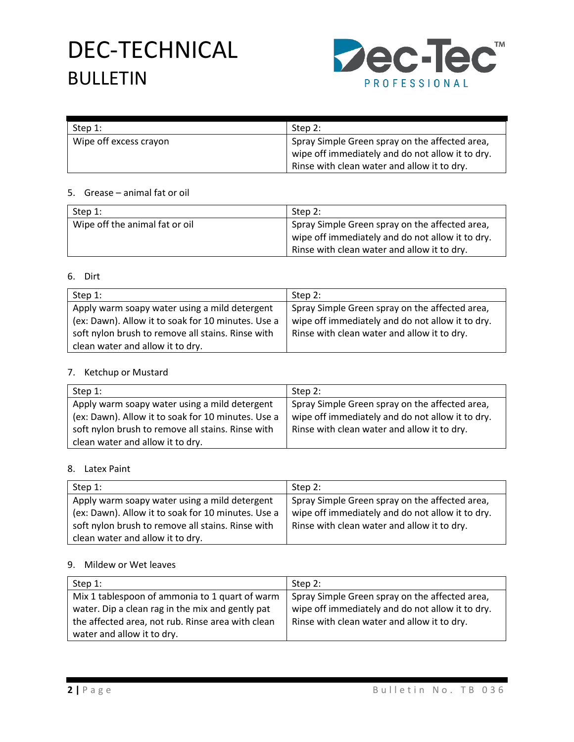# DEC-TECHNICAL BULLETIN



| Step 1:                | Step 2:                                          |
|------------------------|--------------------------------------------------|
| Wipe off excess crayon | Spray Simple Green spray on the affected area,   |
|                        | wipe off immediately and do not allow it to dry. |
|                        | Rinse with clean water and allow it to dry.      |

# 5. Grease – animal fat or oil

| Step 1:                        | Step 2:                                          |
|--------------------------------|--------------------------------------------------|
| Wipe off the animal fat or oil | Spray Simple Green spray on the affected area,   |
|                                | wipe off immediately and do not allow it to dry. |
|                                | Rinse with clean water and allow it to dry.      |

# 6. Dirt

| Step 1:                                            | Step 2:                                          |
|----------------------------------------------------|--------------------------------------------------|
| Apply warm soapy water using a mild detergent      | Spray Simple Green spray on the affected area,   |
| (ex: Dawn). Allow it to soak for 10 minutes. Use a | wipe off immediately and do not allow it to dry. |
| soft nylon brush to remove all stains. Rinse with  | Rinse with clean water and allow it to dry.      |
| clean water and allow it to dry.                   |                                                  |

# 7. Ketchup or Mustard

| Step 1:                                            | Step 2:                                          |
|----------------------------------------------------|--------------------------------------------------|
| Apply warm soapy water using a mild detergent      | Spray Simple Green spray on the affected area,   |
| (ex: Dawn). Allow it to soak for 10 minutes. Use a | wipe off immediately and do not allow it to dry. |
| soft nylon brush to remove all stains. Rinse with  | Rinse with clean water and allow it to dry.      |
| clean water and allow it to dry.                   |                                                  |

## 8. Latex Paint

| Step 1:                                            | Step 2:                                          |
|----------------------------------------------------|--------------------------------------------------|
| Apply warm soapy water using a mild detergent      | Spray Simple Green spray on the affected area,   |
| (ex: Dawn). Allow it to soak for 10 minutes. Use a | wipe off immediately and do not allow it to dry. |
| soft nylon brush to remove all stains. Rinse with  | Rinse with clean water and allow it to dry.      |
| clean water and allow it to dry.                   |                                                  |

## 9. Mildew or Wet leaves

| Step 1:                                           | Step 2:                                          |
|---------------------------------------------------|--------------------------------------------------|
| Mix 1 tablespoon of ammonia to 1 quart of warm    | Spray Simple Green spray on the affected area,   |
| water. Dip a clean rag in the mix and gently pat  | wipe off immediately and do not allow it to dry. |
| the affected area, not rub. Rinse area with clean | Rinse with clean water and allow it to dry.      |
| water and allow it to dry.                        |                                                  |